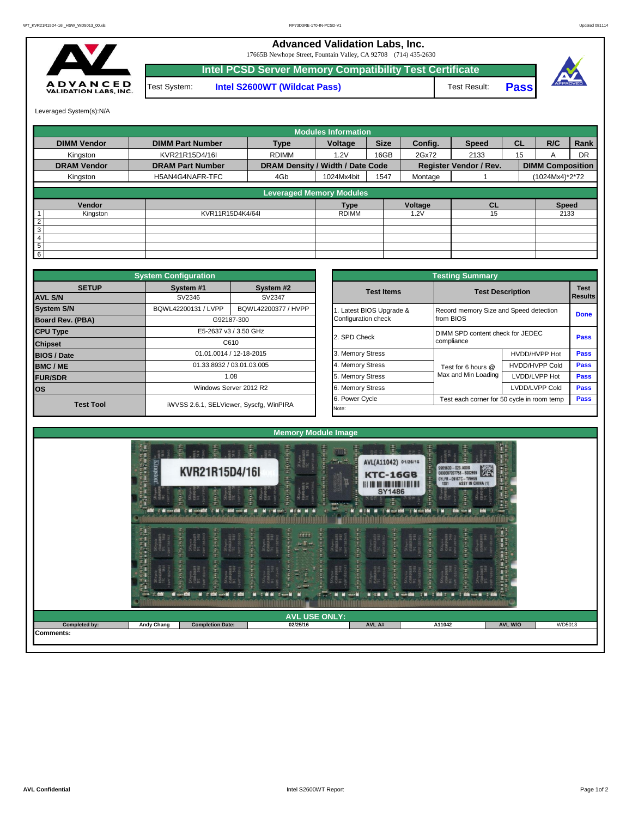## **Advanced Validation Labs, Inc.**

17665B Newhope Street, Fountain Valley, CA 92708 (714) 435-2630



**Intel S2600WT (Wildcat Pass)** Test Result: **Pass Intel PCSD Server Memory Compatibility Test Certificate** Test System:



Leveraged System(s):N/A

|                    |                         |                                  | <b>Modules Information</b> |             |         |                               |           |                         |           |
|--------------------|-------------------------|----------------------------------|----------------------------|-------------|---------|-------------------------------|-----------|-------------------------|-----------|
| <b>DIMM Vendor</b> | <b>DIMM Part Number</b> | <b>Type</b>                      | Voltage                    | <b>Size</b> | Config. | <b>Speed</b>                  | <b>CL</b> | R/C                     | Rank      |
| Kingston           | KVR21R15D4/16I          | <b>RDIMM</b>                     | 1.2V                       | 16GB        | 2Gx72   | 2133                          | 15        | A                       | <b>DR</b> |
| <b>DRAM Vendor</b> | <b>DRAM Part Number</b> | DRAM Density / Width / Date Code |                            |             |         | <b>Register Vendor / Rev.</b> |           | <b>DIMM Composition</b> |           |
| Kingston           | H5AN4G4NAFR-TFC         | 4Gb                              | 1024Mx4bit                 | 1547        | Montage |                               |           | (1024Mx4)*2*72          |           |
|                    |                         | <b>Leveraged Memory Modules</b>  |                            |             |         |                               |           |                         |           |
|                    |                         |                                  |                            |             |         |                               |           |                         |           |
| Vendor             |                         |                                  | <b>Type</b>                |             | Voltage | <b>CL</b>                     |           | <b>Speed</b>            |           |
| Kingston           | KVR11R15D4K4/64I        |                                  | <b>RDIMM</b>               |             | .2V     | 15                            |           | 2133                    |           |
| $\overline{2}$     |                         |                                  |                            |             |         |                               |           |                         |           |
| 3                  |                         |                                  |                            |             |         |                               |           |                         |           |
| 4                  |                         |                                  |                            |             |         |                               |           |                         |           |
| 5                  |                         |                                  |                            |             |         |                               |           |                         |           |
| 6                  |                         |                                  |                            |             |         |                               |           |                         |           |

|                         | <b>System Configuration</b> |                                         |  |                         |                                            |                         |             |  |  |  |
|-------------------------|-----------------------------|-----------------------------------------|--|-------------------------|--------------------------------------------|-------------------------|-------------|--|--|--|
| <b>SETUP</b>            | System #1                   | System #2                               |  | <b>Test Items</b>       |                                            | <b>Test Description</b> |             |  |  |  |
| <b>AVL S/N</b>          | SV2346                      | SV2347                                  |  |                         |                                            |                         | Results     |  |  |  |
| <b>System S/N</b>       | BQWL42200131 / LVPP         | BQWL42200377 / HVPP                     |  | . Latest BIOS Upgrade & | Record memory Size and Speed detection     |                         | <b>Done</b> |  |  |  |
| <b>Board Rev. (PBA)</b> |                             | G92187-300                              |  | Configuration check     | from BIOS                                  |                         |             |  |  |  |
| <b>CPU Type</b>         | E5-2637 v3 / 3.50 GHz       |                                         |  | 2. SPD Check            | DIMM SPD content check for JEDEC           |                         |             |  |  |  |
| <b>Chipset</b>          | C610                        |                                         |  |                         | compliance                                 | <b>Pass</b>             |             |  |  |  |
| <b>BIOS / Date</b>      |                             | 01.01.0014 / 12-18-2015                 |  | 3. Memory Stress        |                                            | HVDD/HVPP Hot           | <b>Pass</b> |  |  |  |
| <b>BMC/ME</b>           |                             | 01.33.8932 / 03.01.03.005               |  | 4. Memory Stress        | Test for 6 hours @                         | <b>HVDD/HVPP Cold</b>   | Pass        |  |  |  |
| <b>FUR/SDR</b>          |                             | 1.08                                    |  | 5. Memory Stress        | Max and Min Loading                        | LVDD/LVPP Hot           | Pass        |  |  |  |
| <b>los</b>              | Windows Server 2012 R2      |                                         |  | 6. Memory Stress        |                                            | LVDD/LVPP Cold          | <b>Pass</b> |  |  |  |
|                         |                             | iWVSS 2.6.1, SELViewer, Syscfq, WinPIRA |  | 6. Power Cycle          | Test each corner for 50 cycle in room temp | <b>Pass</b>             |             |  |  |  |
| <b>Test Tool</b>        |                             |                                         |  | Note:                   |                                            |                         |             |  |  |  |

|              | <b>System Configuration</b> |                                         |                       | <b>Testing Summary</b>                     |                                        |  |  |  |  |
|--------------|-----------------------------|-----------------------------------------|-----------------------|--------------------------------------------|----------------------------------------|--|--|--|--|
| <b>SETUP</b> | System #1                   | System #2                               | <b>Test Items</b>     | <b>Test Description</b>                    |                                        |  |  |  |  |
|              | SV2346                      | SV2347                                  |                       |                                            |                                        |  |  |  |  |
|              | BQWL42200131 / LVPP         | BQWL42200377 / HVPP                     | Latest BIOS Upgrade & |                                            | Record memory Size and Speed detection |  |  |  |  |
| PBA)         |                             | G92187-300                              | Configuration check   | from BIOS                                  |                                        |  |  |  |  |
|              |                             | E5-2637 v3 / 3.50 GHz                   | 2. SPD Check          | DIMM SPD content check for JEDEC           |                                        |  |  |  |  |
|              |                             | C610                                    |                       | compliance                                 |                                        |  |  |  |  |
|              |                             | 01.01.0014 / 12-18-2015                 | 3. Memory Stress      |                                            | HVDD/HVPP Hot                          |  |  |  |  |
|              |                             | 01.33.8932 / 03.01.03.005               | 4. Memory Stress      | Test for 6 hours @                         | <b>HVDD/HVPP Cold</b>                  |  |  |  |  |
|              |                             | 1.08                                    | 5. Memory Stress      | Max and Min Loading                        | LVDD/LVPP Hot                          |  |  |  |  |
|              |                             | Windows Server 2012 R2                  | 6. Memory Stress      |                                            | LVDD/LVPP Cold                         |  |  |  |  |
|              |                             |                                         | 6. Power Cycle        | Test each corner for 50 cycle in room temp |                                        |  |  |  |  |
| est Tool     |                             | iWVSS 2.6.1, SELViewer, Syscfg, WinPIRA | Note:                 |                                            |                                        |  |  |  |  |

|               | のことには、日本の中に<br>H     | Š.<br>莬<br>$\vec{a} \geq \vec{b}$<br>KVR21R15D4/16I                                                                                                                                                                                                              | 靠<br>蛋子<br>E.<br><b>Harbard</b>                                                                                                                            | 畳<br>포르<br>$\frac{1}{2}$ and $\frac{1}{2}$<br>AVL(A11042) 01/26/16<br><b>KTC-16GB</b>   | 井戸<br>9965600 - 023.A00G<br>0000007207753 - 5002699<br>OYLFR-091CTC-TWHV6<br>1551 ASSY IN CHINA (1)<br>ĕ                                                                       | $\mathbf{L}$<br>ð<br>戩<br><b>AND</b>                                                                                                                                                                                                          |
|---------------|----------------------|------------------------------------------------------------------------------------------------------------------------------------------------------------------------------------------------------------------------------------------------------------------|------------------------------------------------------------------------------------------------------------------------------------------------------------|-----------------------------------------------------------------------------------------|--------------------------------------------------------------------------------------------------------------------------------------------------------------------------------|-----------------------------------------------------------------------------------------------------------------------------------------------------------------------------------------------------------------------------------------------|
|               |                      | in 19<br>ŧ<br><b>CALC AND HOTAL</b><br><b>C. Michael COM</b> C. Michael COM                                                                                                                                                                                      | <b>CENTRAL</b><br><b>MAGES</b><br>K hymnas<br>SAMGHAFR<br>į.<br>÷.<br>ÌН<br><b>MENT</b><br><b>ALCOHOL:</b>                                                 | <b>MINIMUMININI</b><br>SY1486<br><b>Manufacturer</b><br>Mit M M 1 Minor 000 1 Minor 000 | ş<br><b>SEPT</b><br><b>Bit - M</b>                                                                                                                                             | 蠹<br>F<br>m                                                                                                                                                                                                                                   |
|               | (の) 中国 (東京)<br>or to | <b>Hitting</b><br>Heritage<br><b>Heider</b><br>$\begin{array}{ll} \epsilon_{\rm H} & \epsilon_{\rm H} \\ \epsilon_{\rm H} & \epsilon_{\rm H} \\ \epsilon_{\rm H} & \epsilon_{\rm H} \\ \epsilon_{\rm H} & \epsilon_{\rm H} \end{array}$<br>$m = n$<br><b>COM</b> | <b>Highland</b><br><b>Grindin</b><br>$\begin{array}{c} \text{array} \\ -5 \end{array}$<br>Historical<br><b>Home</b><br><b>THER</b><br>P<br>a ta<br>$1 - 1$ | THE PERSON<br>HERRICHT<br>HOMMAN<br>HOMMA<br>.<br><b>NITH</b>                           | <b>Harristan</b><br>Chymru<br>daddau<br>Heiner<br><b>Historica</b><br>NGAWER<br>MGAWER<br>Chynix<br>AMGNMER<br>1 SEN<br>$\blacksquare$<br><b>HH</b> T<br><b>This</b><br>m<br>m | <b>The Contract of the Contract of the Contract of the Contract of the Contract of the Contract of the Contract of the Contract of the Contract of the Contract of the Contract of the Contract of the Contract of the Contract </b><br>- 100 |
| Completed by: | <b>Andy Chang</b>    | <b>Completion Date:</b>                                                                                                                                                                                                                                          | <b>AVL USE ONLY:</b><br>02/25/16                                                                                                                           | AVL A#                                                                                  | A11042                                                                                                                                                                         | WD5013<br>AVL W/O                                                                                                                                                                                                                             |